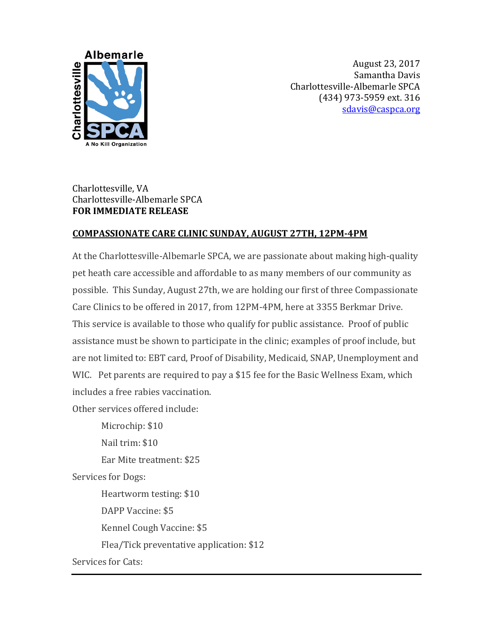

August 23, 2017 Samantha Davis Charlottesville-Albemarle SPCA (434) 973-5959 ext. 316 [sdavis@caspca.org](mailto:mrhondeau@caspca.org)

## Charlottesville, VA Charlottesville-Albemarle SPCA **FOR IMMEDIATE RELEASE**

## **COMPASSIONATE CARE CLINIC SUNDAY, AUGUST 27TH, 12PM-4PM**

At the Charlottesville-Albemarle SPCA, we are passionate about making high-quality pet heath care accessible and affordable to as many members of our community as possible. This Sunday, August 27th, we are holding our first of three Compassionate Care Clinics to be offered in 2017, from 12PM-4PM, here at 3355 Berkmar Drive. This service is available to those who qualify for public assistance. Proof of public assistance must be shown to participate in the clinic; examples of proof include, but are not limited to: EBT card, Proof of Disability, Medicaid, SNAP, Unemployment and WIC. Pet parents are required to pay a \$15 fee for the Basic Wellness Exam, which includes a free rabies vaccination.

Other services offered include:

Microchip: \$10 Nail trim: \$10 Ear Mite treatment: \$25 Services for Dogs: Heartworm testing: \$10 DAPP Vaccine: \$5 Kennel Cough Vaccine: \$5 Flea/Tick preventative application: \$12 Services for Cats: